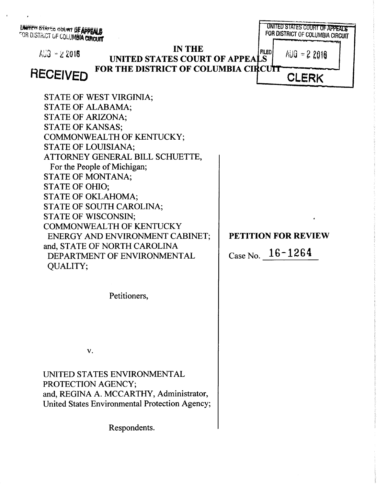UNITED STATES SOURT OF APPEALS FOR DISTRICT OF COLUMBIA CIRCUIT

UNITED STATES COURT OF APPEALS *FOR DISTRICT OF COLUMBIA CIRCUIT IN THE* **FILED**  $A\cup 3 - 22016$  $AUB = 22016$ *UNITED STATES COURT OF APPEA FOR THE DISTRICT OF COLUMBIA CI* **RECEIVED CLERK** STATE OF WEST VIRGINIA; STATE OF ALABAMA; STATE OF ARIZONA; STATE OF KANSAS; COMMONWEALTH OF KENTUCKY; STATE OF LOUISIANA; ATTORNEY GENERAL BILL SCHUETTE, For the People of Michigan; STATE OF MONTANA; STATE OF OHIO; STATE OF OKLAHOMA; STATE OF SOUTH CAROLINA; STATE OF WISCONSIN; COMMONWEALTH OF KENTUCKY ENERGY AND ENVIRONMENT CABINET; *PETITION FOR REVIEW* and, STATE OF NORTH CAROLINA CaseNo. *16-1264* DEPARTMENT OF ENVIRONMENTAL QUALITY; Petitioners,

 $V_{\bullet}$ 

UNITED STATES ENVIRONMENTAL PROTECTION AGENCY; and, REGINA A. MCCARTHY, Administrator, United States Environmental Protection Agency;

Respondents.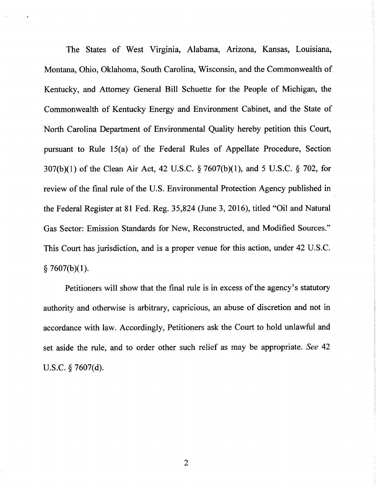The States of West Virginia, Alabama, Arizona, Kansas, Louisiana, Montana, Ohio, Oklahoma, South Carolina, Wisconsin, and the Commonwealth of Kentucky, and Attorney General Bill Schuette for the People of Michigan, the Commonwealth of Kentucky Energy and Environment Cabinet, and the State of North Carolina Department of Environmental Quality hereby petition this Court, pursuant to Rule 15(a) of the Federal Rules of Appellate Procedure, Section 307(b)(1) of the Clean Air Act, 42 U.S.C. § 7607(b)(1), and 5 U.S.C. § 702, for review of the final rule of the U.S. Environmental Protection Agency published in the Federal Register at 81 Fed. Reg. 35,824 (June 3, 2016), titled "Oil and Natural Gas Sector: Emission Standards for New, Reconstructed, and Modified Sources." This Court has jurisdiction, and is a proper venue for this action, under 42 U.S.C.  $§ 7607(b)(1).$ 

Petitioners will show that the final rule is in excess of the agency's statutory authority and otherwise is arbitrary, capricious, an abuse of discretion and not in accordance with law. Accordingly, Petitioners ask the Court to hold unlawful and set aside the rule, and to order other such relief as may be appropriate. **See** 42 U.S.C. § 7607(d).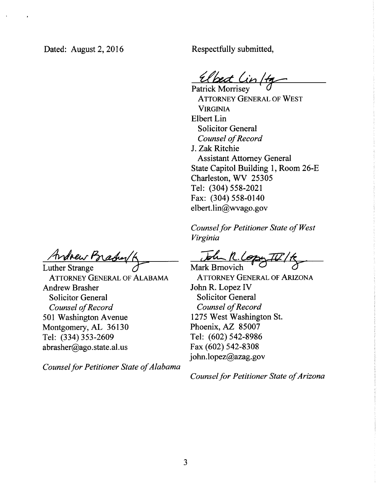Dated: August 2, 2016

Respectfully submitted,

Patrick Morrisey **0**

Attorney General of West **VIRGINIA** Elbert Lin Solicitor General **Counsel ofRecord** J. Zak Ritchie Assistant Attorney General State Capitol Building 1, Room 26-E Charleston, WV 25305 Tel: (304)558-2021 Fax: (304) 558-0140 elbert.lin@wvago.gov

**Counsel for Petitioner State of West Virginia**

Mark Brnovich ^ **O**

Attorney General of Arizona John R. Lopez IV Solicitor General **Counsel ofRecord** 1275 West Washington St. Phoenix, AZ 85007 Tel: (602) 542-8986 Fax (602) 542-8308 john.lopez@azag.gov

**Counsel for Petitioner State of Arizona** 

Ardrew Bradyk

Luther Strange Attorney General of Alabama Andrew Brasher Solicitor General **Counsel** of Record 501 Washington Avenue Montgomery, AL 36130 Tel: (334)353-2609 abrasher@ago.state.al.us

**Counsel for Petitioner State of Alabama**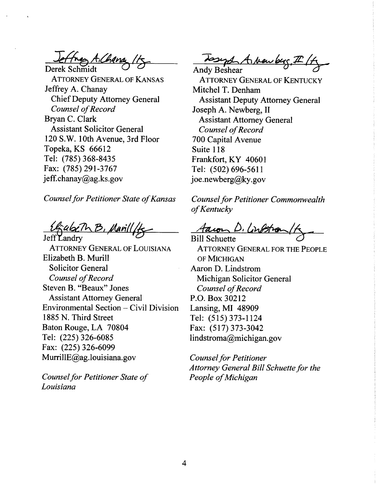tres A.Chana  $Derek$  Schmidt

Attorney General of Kansas Jeffrey A. Chanay ChiefDeputy Attorney General **Counsel** of Record Bryan C. Clark Assistant Solicitor General 120 S.W. 10th Avenue, 3rd Floor Topeka, KS 66612 Tel: (785)368-8435 Fax: (785)291-3767 jeff.chanay@ag.ks.gov

**Counsel for Petitioner State of Kansas** 

abeTh B, Marill

Attorney General of Louisiana Elizabeth B. Murill Solicitor General **Counsel ofRecord** Steven B. "Beaux" Jones Assistant Attorney General Environmental Section - Civil Division 1885 N. Third Street Baton Rouge, LA 70804 Tel: (225)326-6085 Fax: (225)326-6099 MurrillE@ag.louisiana.gov

**Counsel for Petitioner State of Louisiana**

Top Anders, I 1 H

Attorney General of Kentucky Mitchel T. Denham Assistant Deputy Attorney General Joseph A. Newberg, II Assistant Attorney General **Counsel ofRecord** 700 Capital Avenue Suite 118 Frankfort, KY 40601 Tel: (502)696-5611 joe.newberg@ky.gov

**Counsel for Petitioner Commonwealth ofKentucky**

<u>Aacon D. Cinstra</u>

Attorney General for the People of Michigan Aaron D. Lindstrom Michigan Solicitor General **Counsel ofRecord** P.O. Box 30212 Lansing, MI 48909 Tel: (515)373-1124 Fax: (517)373-3042 lindstroma@michigan.gov

**Counsel for Petitioner Attorney General Bill Schuette for the People ofMichigan**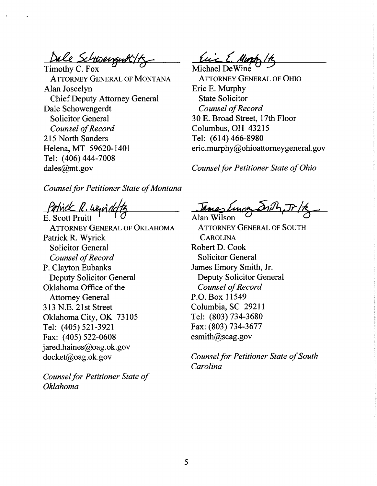Dale Schwengent (1

Attorney General of Montana Alan Joscelyn Chief Deputy Attorney General Dale Schowengerdt Solicitor General **Counsel ofRecord** 215 North Sanders Helena, MT 59620-1401 Tel: (406)444-7008 dales@mt.gov

**Counsel for Petitioner State of Montana** 

Patrick D. Win

E. Scott Pruitt Attorney General of Oklahoma Patrick R. Wyrick Solicitor General **Counsel of Record** P. Clayton Eubanks Deputy Solicitor General Oklahoma Office of the Attorney General 313 N.E. 21st Street Oklahoma City, OK 73105 Tel: (405) 521-3921 Fax: (405) 522-0608 jared.haines@oag.ok.gov docket@oag.ok.gov

**Counsel for Petitioner State of Oklahoma**

Eine E. Mura Michael DeWine

Attorney General of Ohio Eric E. Murphy State Solicitor **Counsel ofRecord** 30 E. Broad Street, 17th Floor Columbus, OH 43215 Tel: (614)466-8980 eric.murphy@ohioattorneygeneral.gov

**Counsel for Petitioner State of Ohio** 

Alan Wilson **° °**

Attorney General of South **CAROLINA** Robert D. Cook Solicitor General James Emory Smith, Jr. Deputy Solicitor General **Counsel** of Record P.O. Box 11549 Columbia, SC 29211 Tel: (803)734-3680 Fax: (803) 734-3677 esmith@scag.gov

**Counsel for Petitioner State of South Carolina**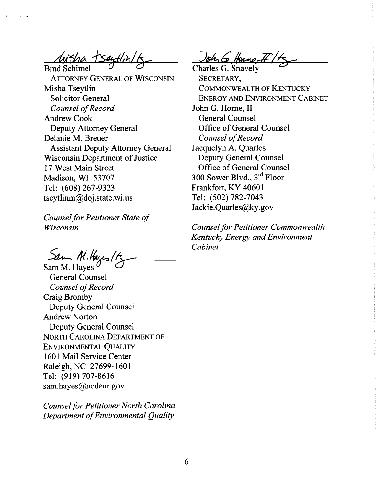Brad Schimel **° °**

Attorney General of Wisconsin Misha Tseytlin Solicitor General **Counsel ofRecord** Andrew Cook Deputy Attorney General Delanie M. Breuer Assistant Deputy Attorney General Wisconsin Department of Justice 17 West Main Street Madison, WI 53707 Tel: (608)267-9323 tseytlinm@doj.state.wi.us

**Counsel for Petitioner State of Wisconsin**

Sam M. Hayes **° <0**

General Counsel **Counsel ofRecord** Craig Bromby Deputy General Counsel Andrew Norton Deputy General Counsel North Carolina Department of Environmental Quality 1601 Mail Service Center Raleigh, NC 27699-1601 Tel: (919) 707-8616 sam.hayes@ncdenr.gov

**Counsel for Petitioner North Carolina Department ofEnvironmental Quality**

John G. Home, IT /1

SECRETARY, Commonwealth of Kentucky Energy and Environment Cabinet John G. Home, II General Counsel Office of General Counsel **Counsel ofRecord** Jacquelyn A. Quarles Deputy General Counsel Office of General Counsel 300 Sower Blvd., 3rd Floor Frankfort, KY 40601 Tel: (502) 782-7043 Jackie.Quarles@ky.gov

**Counsel for Petitioner Commonwealth KentuckyEnergy andEnvironment Cabinet**